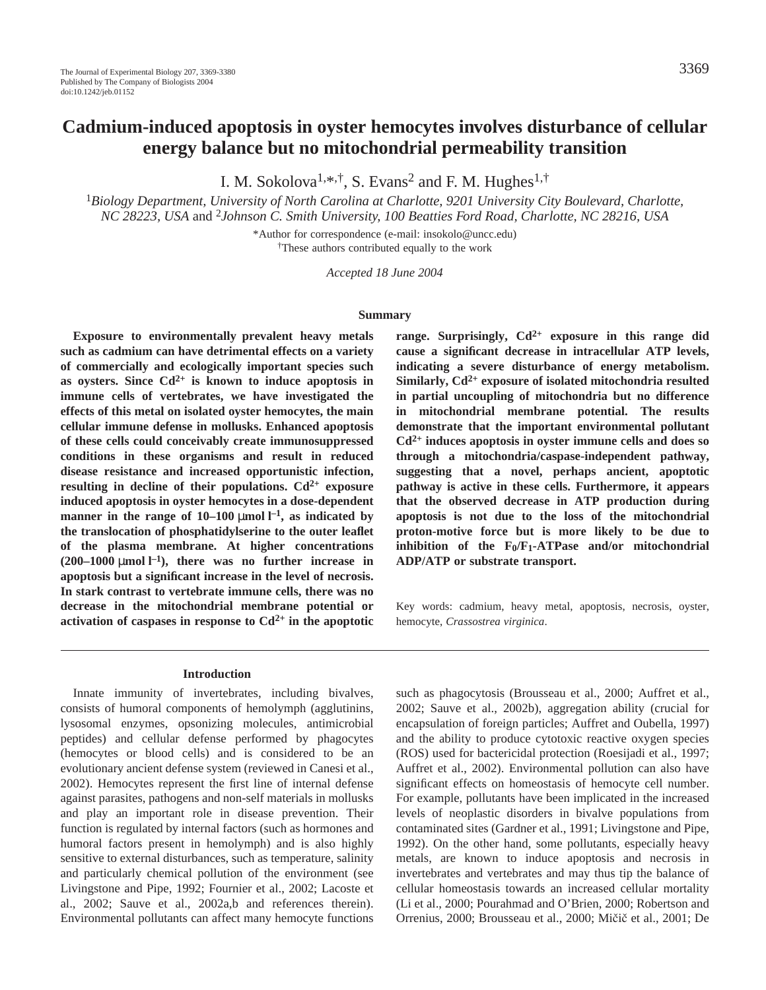I. M. Sokolova<sup>1,\*,†</sup>, S. Evans<sup>2</sup> and F. M. Hughes<sup>1,†</sup>

<sup>1</sup>*Biology Department, University of North Carolina at Charlotte, 9201 University City Boulevard, Charlotte, NC 28223, USA* and 2*Johnson C. Smith University, 100 Beatties Ford Road, Charlotte, NC 28216, USA*

> \*Author for correspondence (e-mail: insokolo@uncc.edu) †These authors contributed equally to the work

> > *Accepted 18 June 2004*

### **Summary**

**Exposure to environmentally prevalent heavy metals such as cadmium can have detrimental effects on a variety of commercially and ecologically important species such** as oysters. Since  $Cd^{2+}$  is known to induce apoptosis in **immune cells of vertebrates, we have investigated the effects of this metal on isolated oyster hemocytes, the main cellular immune defense in mollusks. Enhanced apoptosis of these cells could conceivably create immunosuppressed conditions in these organisms and result in reduced disease resistance and increased opportunistic infection, resulting in decline of their populations. Cd2+ exposure induced apoptosis in oyster hemocytes in a dose-dependent manner in the range of 10–100**  $\mu$ mol  $l^{-1}$ , as indicated by **the translocation of phosphatidylserine to the outer leaflet of the plasma membrane. At higher concentrations**  $(200-1000 \mu \text{mol} \, \text{L}^{-1})$ , there was no further increase in **apoptosis but a significant increase in the level of necrosis. In stark contrast to vertebrate immune cells, there was no decrease in the mitochondrial membrane potential or** activation of caspases in response to  $Cd^{2+}$  in the apoptotic **range. Surprisingly, Cd2+ exposure in this range did cause a significant decrease in intracellular ATP levels, indicating a severe disturbance of energy metabolism. Similarly, Cd2+ exposure of isolated mitochondria resulted in partial uncoupling of mitochondria but no difference in mitochondrial membrane potential. The results demonstrate that the important environmental pollutant Cd2+ induces apoptosis in oyster immune cells and does so through a mitochondria/caspase-independent pathway, suggesting that a novel, perhaps ancient, apoptotic pathway is active in these cells. Furthermore, it appears that the observed decrease in ATP production during apoptosis is not due to the loss of the mitochondrial proton-motive force but is more likely to be due to inhibition of the F0/F1-ATPase and/or mitochondrial ADP/ATP or substrate transport.**

Key words: cadmium, heavy metal, apoptosis, necrosis, oyster, hemocyte, *Crassostrea virginica*.

#### **Introduction**

Innate immunity of invertebrates, including bivalves, consists of humoral components of hemolymph (agglutinins, lysosomal enzymes, opsonizing molecules, antimicrobial peptides) and cellular defense performed by phagocytes (hemocytes or blood cells) and is considered to be an evolutionary ancient defense system (reviewed in Canesi et al., 2002). Hemocytes represent the first line of internal defense against parasites, pathogens and non-self materials in mollusks and play an important role in disease prevention. Their function is regulated by internal factors (such as hormones and humoral factors present in hemolymph) and is also highly sensitive to external disturbances, such as temperature, salinity and particularly chemical pollution of the environment (see Livingstone and Pipe, 1992; Fournier et al., 2002; Lacoste et al., 2002; Sauve et al., 2002a,b and references therein). Environmental pollutants can affect many hemocyte functions

such as phagocytosis (Brousseau et al., 2000; Auffret et al., 2002; Sauve et al., 2002b), aggregation ability (crucial for encapsulation of foreign particles; Auffret and Oubella, 1997) and the ability to produce cytotoxic reactive oxygen species (ROS) used for bactericidal protection (Roesijadi et al., 1997; Auffret et al., 2002). Environmental pollution can also have significant effects on homeostasis of hemocyte cell number. For example, pollutants have been implicated in the increased levels of neoplastic disorders in bivalve populations from contaminated sites (Gardner et al., 1991; Livingstone and Pipe, 1992). On the other hand, some pollutants, especially heavy metals, are known to induce apoptosis and necrosis in invertebrates and vertebrates and may thus tip the balance of cellular homeostasis towards an increased cellular mortality (Li et al., 2000; Pourahmad and O'Brien, 2000; Robertson and Orrenius, 2000; Brousseau et al., 2000; Micic et al., 2001; De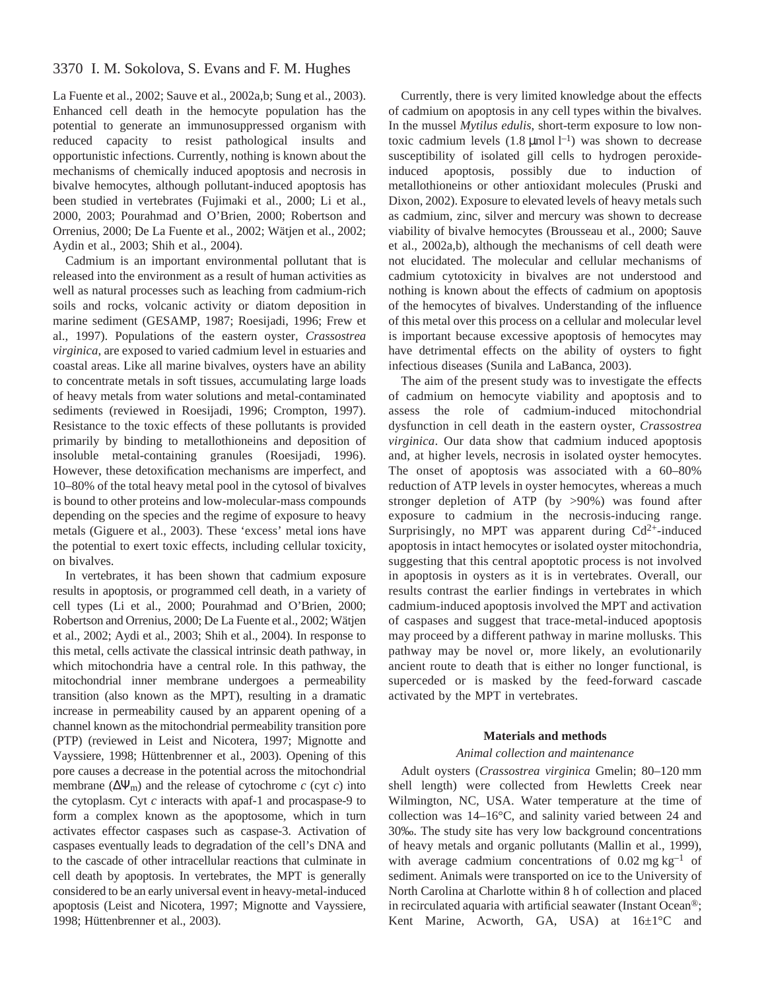# 3370 I. M. Sokolova, S. Evans and F. M. Hughes

La Fuente et al., 2002; Sauve et al., 2002a,b; Sung et al., 2003). Enhanced cell death in the hemocyte population has the potential to generate an immunosuppressed organism with reduced capacity to resist pathological insults and opportunistic infections. Currently, nothing is known about the mechanisms of chemically induced apoptosis and necrosis in bivalve hemocytes, although pollutant-induced apoptosis has been studied in vertebrates (Fujimaki et al., 2000; Li et al., 2000, 2003; Pourahmad and O'Brien, 2000; Robertson and Orrenius, 2000; De La Fuente et al., 2002; Wätjen et al., 2002; Aydin et al., 2003; Shih et al., 2004).

Cadmium is an important environmental pollutant that is released into the environment as a result of human activities as well as natural processes such as leaching from cadmium-rich soils and rocks, volcanic activity or diatom deposition in marine sediment (GESAMP, 1987; Roesijadi, 1996; Frew et al., 1997). Populations of the eastern oyster, *Crassostrea virginica*, are exposed to varied cadmium level in estuaries and coastal areas. Like all marine bivalves, oysters have an ability to concentrate metals in soft tissues, accumulating large loads of heavy metals from water solutions and metal-contaminated sediments (reviewed in Roesijadi, 1996; Crompton, 1997). Resistance to the toxic effects of these pollutants is provided primarily by binding to metallothioneins and deposition of insoluble metal-containing granules (Roesijadi, 1996). However, these detoxification mechanisms are imperfect, and 10–80% of the total heavy metal pool in the cytosol of bivalves is bound to other proteins and low-molecular-mass compounds depending on the species and the regime of exposure to heavy metals (Giguere et al., 2003). These 'excess' metal ions have the potential to exert toxic effects, including cellular toxicity, on bivalves.

In vertebrates, it has been shown that cadmium exposure results in apoptosis, or programmed cell death, in a variety of cell types (Li et al., 2000; Pourahmad and O'Brien, 2000; Robertson and Orrenius, 2000; De La Fuente et al., 2002; Wätjen et al., 2002; Aydi et al., 2003; Shih et al., 2004). In response to this metal, cells activate the classical intrinsic death pathway, in which mitochondria have a central role. In this pathway, the mitochondrial inner membrane undergoes a permeability transition (also known as the MPT), resulting in a dramatic increase in permeability caused by an apparent opening of a channel known as the mitochondrial permeability transition pore (PTP) (reviewed in Leist and Nicotera, 1997; Mignotte and Vayssiere, 1998; Hüttenbrenner et al., 2003). Opening of this pore causes a decrease in the potential across the mitochondrial membrane  $(\Delta \Psi_m)$  and the release of cytochrome *c* (cyt *c*) into the cytoplasm. Cyt *c* interacts with apaf-1 and procaspase-9 to form a complex known as the apoptosome, which in turn activates effector caspases such as caspase-3. Activation of caspases eventually leads to degradation of the cell's DNA and to the cascade of other intracellular reactions that culminate in cell death by apoptosis. In vertebrates, the MPT is generally considered to be an early universal event in heavy-metal-induced apoptosis (Leist and Nicotera, 1997; Mignotte and Vayssiere, 1998; Hüttenbrenner et al., 2003).

Currently, there is very limited knowledge about the effects of cadmium on apoptosis in any cell types within the bivalves. In the mussel *Mytilus edulis*, short-term exposure to low nontoxic cadmium levels  $(1.8 \mu \text{mol})^{-1}$  was shown to decrease susceptibility of isolated gill cells to hydrogen peroxideinduced apoptosis, possibly due to induction of metallothioneins or other antioxidant molecules (Pruski and Dixon, 2002). Exposure to elevated levels of heavy metals such as cadmium, zinc, silver and mercury was shown to decrease viability of bivalve hemocytes (Brousseau et al., 2000; Sauve et al., 2002a,b), although the mechanisms of cell death were not elucidated. The molecular and cellular mechanisms of cadmium cytotoxicity in bivalves are not understood and nothing is known about the effects of cadmium on apoptosis of the hemocytes of bivalves. Understanding of the influence of this metal over this process on a cellular and molecular level is important because excessive apoptosis of hemocytes may have detrimental effects on the ability of oysters to fight infectious diseases (Sunila and LaBanca, 2003).

The aim of the present study was to investigate the effects of cadmium on hemocyte viability and apoptosis and to assess the role of cadmium-induced mitochondrial dysfunction in cell death in the eastern oyster, *Crassostrea virginica*. Our data show that cadmium induced apoptosis and, at higher levels, necrosis in isolated oyster hemocytes. The onset of apoptosis was associated with a 60–80% reduction of ATP levels in oyster hemocytes, whereas a much stronger depletion of ATP (by >90%) was found after exposure to cadmium in the necrosis-inducing range. Surprisingly, no MPT was apparent during  $Cd^{2+}$ -induced apoptosis in intact hemocytes or isolated oyster mitochondria, suggesting that this central apoptotic process is not involved in apoptosis in oysters as it is in vertebrates. Overall, our results contrast the earlier findings in vertebrates in which cadmium-induced apoptosis involved the MPT and activation of caspases and suggest that trace-metal-induced apoptosis may proceed by a different pathway in marine mollusks. This pathway may be novel or, more likely, an evolutionarily ancient route to death that is either no longer functional, is superceded or is masked by the feed-forward cascade activated by the MPT in vertebrates.

### **Materials and methods**

### *Animal collection and maintenance*

Adult oysters (*Crassostrea virginica* Gmelin; 80–120·mm shell length) were collected from Hewletts Creek near Wilmington, NC, USA. Water temperature at the time of collection was 14–16°C, and salinity varied between 24 and 30‰. The study site has very low background concentrations of heavy metals and organic pollutants (Mallin et al., 1999), with average cadmium concentrations of  $0.02 \text{ mg kg}^{-1}$  of sediment. Animals were transported on ice to the University of North Carolina at Charlotte within 8 h of collection and placed in recirculated aquaria with artificial seawater (Instant Ocean®; Kent Marine, Acworth, GA, USA) at 16±1°C and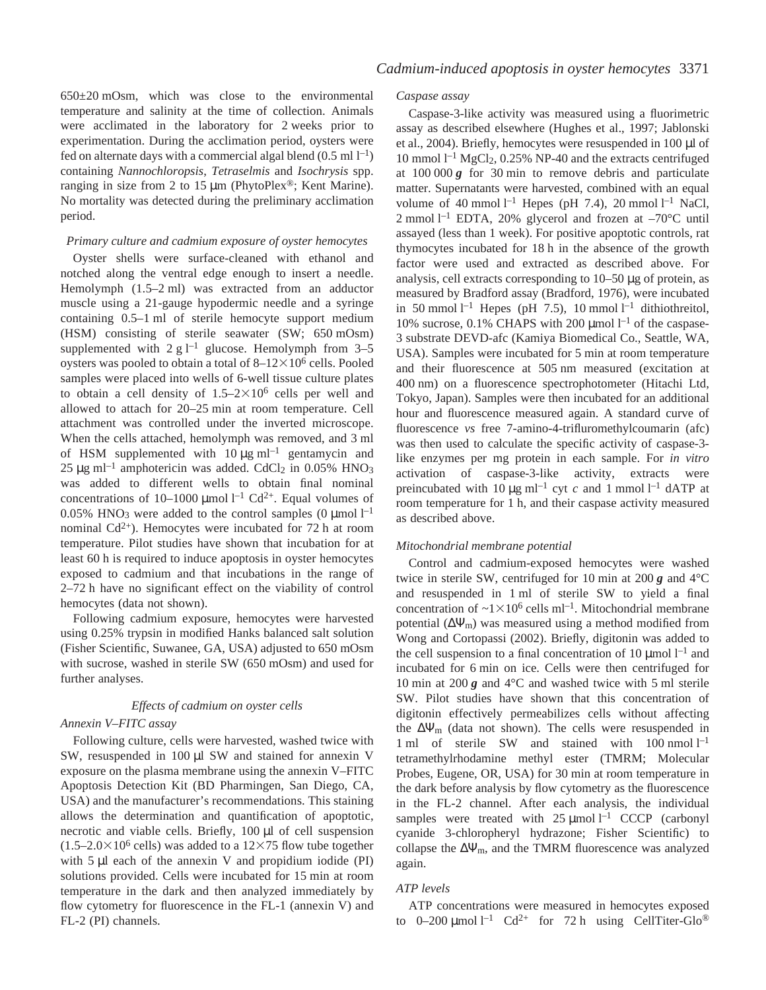$650\pm20$  mOsm, which was close to the environmental temperature and salinity at the time of collection. Animals were acclimated in the laboratory for 2 weeks prior to experimentation. During the acclimation period, oysters were fed on alternate days with a commercial algal blend  $(0.5 \text{ ml } l^{-1})$ containing *Nannochloropsis*, *Tetraselmis* and *Isochrysis* spp. ranging in size from 2 to 15  $\mu$ m (PhytoPlex®; Kent Marine). No mortality was detected during the preliminary acclimation period.

## *Primary culture and cadmium exposure of oyster hemocytes*

Oyster shells were surface-cleaned with ethanol and notched along the ventral edge enough to insert a needle. Hemolymph  $(1.5-2 ml)$  was extracted from an adductor muscle using a 21-gauge hypodermic needle and a syringe containing 0.5–1 ml of sterile hemocyte support medium (HSM) consisting of sterile seawater (SW; 650 mOsm) supplemented with  $2 g l^{-1}$  glucose. Hemolymph from 3-5 oysters was pooled to obtain a total of  $8-12\times10^6$  cells. Pooled samples were placed into wells of 6-well tissue culture plates to obtain a cell density of  $1.5-2\times10^6$  cells per well and allowed to attach for 20–25 min at room temperature. Cell attachment was controlled under the inverted microscope. When the cells attached, hemolymph was removed, and 3 ml of HSM supplemented with  $10 \mu g$  ml<sup>-1</sup> gentamycin and 25  $\mu$ g ml<sup>-1</sup> amphotericin was added. CdCl<sub>2</sub> in 0.05% HNO<sub>3</sub> was added to different wells to obtain final nominal concentrations of 10–1000  $\mu$ mol l<sup>-1</sup> Cd<sup>2+</sup>. Equal volumes of 0.05% HNO<sub>3</sub> were added to the control samples  $(0 \mu \text{mol})^{-1}$ nominal Cd<sup>2+</sup>). Hemocytes were incubated for 72 h at room temperature. Pilot studies have shown that incubation for at least 60 h is required to induce apoptosis in oyster hemocytes exposed to cadmium and that incubations in the range of 2–72 h have no significant effect on the viability of control hemocytes (data not shown).

Following cadmium exposure, hemocytes were harvested using 0.25% trypsin in modified Hanks balanced salt solution (Fisher Scientific, Suwanee, GA, USA) adjusted to 650 mOsm with sucrose, washed in sterile SW (650 mOsm) and used for further analyses.

### *Effects of cadmium on oyster cells*

## *Annexin V–FITC assay*

Following culture, cells were harvested, washed twice with SW, resuspended in  $100 \mu$ l SW and stained for annexin V exposure on the plasma membrane using the annexin V–FITC Apoptosis Detection Kit (BD Pharmingen, San Diego, CA, USA) and the manufacturer's recommendations. This staining allows the determination and quantification of apoptotic, necrotic and viable cells. Briefly,  $100 \mu l$  of cell suspension  $(1.5-2.0\times10^6 \text{ cells})$  was added to a 12×75 flow tube together with  $5 \mu l$  each of the annexin V and propidium iodide (PI) solutions provided. Cells were incubated for 15 min at room temperature in the dark and then analyzed immediately by flow cytometry for fluorescence in the FL-1 (annexin V) and FL-2 (PI) channels.

# *Caspase assay*

Caspase-3-like activity was measured using a fluorimetric assay as described elsewhere (Hughes et al., 1997; Jablonski et al., 2004). Briefly, hemocytes were resuspended in 100 µl of 10 mmol  $l^{-1}$  MgCl<sub>2</sub>, 0.25% NP-40 and the extracts centrifuged at  $100\,000\,g$  for 30 min to remove debris and particulate matter. Supernatants were harvested, combined with an equal volume of 40 mmol<sup> $l$ -1</sup> Hepes (pH 7.4), 20 mmol<sup>1-1</sup> NaCl, 2 mmol<sup>1-1</sup> EDTA, 20% glycerol and frozen at  $-70^{\circ}$ C until assayed (less than 1 week). For positive apoptotic controls, rat thymocytes incubated for 18 h in the absence of the growth factor were used and extracted as described above. For analysis, cell extracts corresponding to  $10-50 \mu$ g of protein, as measured by Bradford assay (Bradford, 1976), were incubated in 50 mmol  $l^{-1}$  Hepes (pH 7.5), 10 mmol  $l^{-1}$  dithiothreitol, 10% sucrose, 0.1% CHAPS with 200  $\mu$ mol l<sup>-1</sup> of the caspase-3 substrate DEVD-afc (Kamiya Biomedical Co., Seattle, WA, USA). Samples were incubated for 5 min at room temperature and their fluorescence at 505 nm measured (excitation at 400 nm) on a fluorescence spectrophotometer (Hitachi Ltd, Tokyo, Japan). Samples were then incubated for an additional hour and fluorescence measured again. A standard curve of fluorescence *vs* free 7-amino-4-trifluromethylcoumarin (afc) was then used to calculate the specific activity of caspase-3 like enzymes per mg protein in each sample. For *in vitro* activation of caspase-3-like activity, extracts were preincubated with 10  $\mu$ g ml<sup>-1</sup> cyt *c* and 1 mmol l<sup>-1</sup> dATP at room temperature for 1 h, and their caspase activity measured as described above.

### *Mitochondrial membrane potential*

Control and cadmium-exposed hemocytes were washed twice in sterile SW, centrifuged for 10 min at 200  *and 4<sup>°</sup>C* and resuspended in 1 ml of sterile SW to yield a final concentration of  $\sim$ 1 $\times$ 10<sup>6</sup> cells ml<sup>-1</sup>. Mitochondrial membrane potential  $(\Delta \Psi_m)$  was measured using a method modified from Wong and Cortopassi (2002). Briefly, digitonin was added to the cell suspension to a final concentration of 10  $\mu$ mol l<sup>-1</sup> and incubated for 6 min on ice. Cells were then centrifuged for 10 min at 200  $g$  and 4<sup>°</sup>C and washed twice with 5 ml sterile SW. Pilot studies have shown that this concentration of digitonin effectively permeabilizes cells without affecting the  $\Delta \Psi_{\text{m}}$  (data not shown). The cells were resuspended in 1 ml of sterile SW and stained with  $100$  nmol  $l^{-1}$ tetramethylrhodamine methyl ester (TMRM; Molecular Probes, Eugene, OR, USA) for 30 min at room temperature in the dark before analysis by flow cytometry as the fluorescence in the FL-2 channel. After each analysis, the individual samples were treated with  $25 \mu$ mol l<sup>-1</sup> CCCP (carbonyl cyanide 3-chloropheryl hydrazone; Fisher Scientific) to collapse the  $\Delta \Psi_m$ , and the TMRM fluorescence was analyzed again.

# *ATP levels*

ATP concentrations were measured in hemocytes exposed to  $0-200 \mu$ mol l<sup>-1</sup> Cd<sup>2+</sup> for 72 h using CellTiter-Glo<sup>®</sup>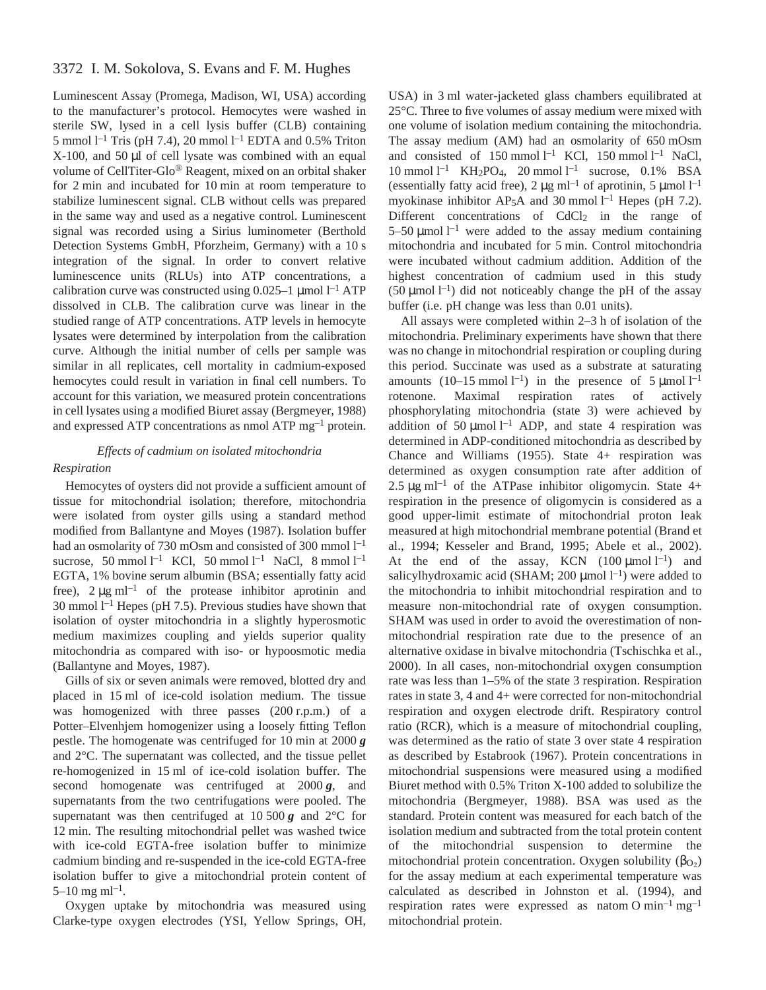# 3372 I. M. Sokolova, S. Evans and F. M. Hughes

Luminescent Assay (Promega, Madison, WI, USA) according to the manufacturer's protocol. Hemocytes were washed in sterile SW, lysed in a cell lysis buffer (CLB) containing 5 mmol  $l^{-1}$  Tris (pH 7.4), 20 mmol  $l^{-1}$  EDTA and 0.5% Triton  $X-100$ , and 50  $\mu$ l of cell lysate was combined with an equal volume of CellTiter-Glo® Reagent, mixed on an orbital shaker for 2 min and incubated for 10 min at room temperature to stabilize luminescent signal. CLB without cells was prepared in the same way and used as a negative control. Luminescent signal was recorded using a Sirius luminometer (Berthold Detection Systems GmbH, Pforzheim, Germany) with a 10 s integration of the signal. In order to convert relative luminescence units (RLUs) into ATP concentrations, a calibration curve was constructed using  $0.025-1 \mu$  mol l<sup>-1</sup> ATP dissolved in CLB. The calibration curve was linear in the studied range of ATP concentrations. ATP levels in hemocyte lysates were determined by interpolation from the calibration curve. Although the initial number of cells per sample was similar in all replicates, cell mortality in cadmium-exposed hemocytes could result in variation in final cell numbers. To account for this variation, we measured protein concentrations in cell lysates using a modified Biuret assay (Bergmeyer, 1988) and expressed ATP concentrations as nmol ATP  $mg^{-1}$  protein.

# *Effects of cadmium on isolated mitochondria Respiration*

Hemocytes of oysters did not provide a sufficient amount of tissue for mitochondrial isolation; therefore, mitochondria were isolated from oyster gills using a standard method modified from Ballantyne and Moyes (1987). Isolation buffer had an osmolarity of 730 mOsm and consisted of 300 mmol  $l^{-1}$ sucrose, 50 mmol  $l^{-1}$  KCl, 50 mmol  $l^{-1}$  NaCl, 8 mmol  $l^{-1}$ EGTA, 1% bovine serum albumin (BSA; essentially fatty acid free),  $2 \mu g$  ml<sup>-1</sup> of the protease inhibitor aprotinin and 30 mmol  $l^{-1}$  Hepes (pH 7.5). Previous studies have shown that isolation of oyster mitochondria in a slightly hyperosmotic medium maximizes coupling and yields superior quality mitochondria as compared with iso- or hypoosmotic media (Ballantyne and Moyes, 1987).

Gills of six or seven animals were removed, blotted dry and placed in 15 ml of ice-cold isolation medium. The tissue was homogenized with three passes  $(200 r.p.m.)$  of a Potter–Elvenhjem homogenizer using a loosely fitting Teflon pestle. The homogenate was centrifuged for 10 min at 2000  $g$ and 2°C. The supernatant was collected, and the tissue pellet re-homogenized in 15 ml of ice-cold isolation buffer. The second homogenate was centrifuged at  $2000\ g$ , and supernatants from the two centrifugations were pooled. The supernatant was then centrifuged at  $10\,500\,\text{g}$  and  $2^{\circ}\text{C}$  for 12 min. The resulting mitochondrial pellet was washed twice with ice-cold EGTA-free isolation buffer to minimize cadmium binding and re-suspended in the ice-cold EGTA-free isolation buffer to give a mitochondrial protein content of  $5-10$  mg m $l^{-1}$ .

Oxygen uptake by mitochondria was measured using Clarke-type oxygen electrodes (YSI, Yellow Springs, OH, USA) in 3 ml water-jacketed glass chambers equilibrated at 25°C. Three to five volumes of assay medium were mixed with one volume of isolation medium containing the mitochondria. The assay medium (AM) had an osmolarity of 650 mOsm and consisted of  $150 \text{ mmol } l^{-1}$  KCl,  $150 \text{ mmol } l^{-1}$  NaCl,  $10$  mmol  $l^{-1}$  KH<sub>2</sub>PO<sub>4</sub>, 20 mmol  $l^{-1}$  sucrose, 0.1% BSA (essentially fatty acid free),  $2 \mu g$  ml<sup>-1</sup> of aprotinin, 5  $\mu$ mol l<sup>-1</sup> myokinase inhibitor AP<sub>5</sub>A and 30 mmol  $l^{-1}$  Hepes (pH 7.2). Different concentrations of CdCl<sub>2</sub> in the range of 5–50  $\mu$ mol l<sup>-1</sup> were added to the assay medium containing mitochondria and incubated for 5 min. Control mitochondria were incubated without cadmium addition. Addition of the highest concentration of cadmium used in this study (50  $\mu$ mol l<sup>-1</sup>) did not noticeably change the pH of the assay buffer (i.e. pH change was less than 0.01 units).

All assays were completed within  $2-3$  h of isolation of the mitochondria. Preliminary experiments have shown that there was no change in mitochondrial respiration or coupling during this period. Succinate was used as a substrate at saturating amounts  $(10-15 \text{ mmol } l^{-1})$  in the presence of  $5 \mu \text{mol } l^{-1}$ rotenone. Maximal respiration rates of actively phosphorylating mitochondria (state 3) were achieved by addition of 50  $\mu$ mol l<sup>-1</sup> ADP, and state 4 respiration was determined in ADP-conditioned mitochondria as described by Chance and Williams (1955). State 4+ respiration was determined as oxygen consumption rate after addition of 2.5  $\mu$ g ml<sup>-1</sup> of the ATPase inhibitor oligomycin. State 4+ respiration in the presence of oligomycin is considered as a good upper-limit estimate of mitochondrial proton leak measured at high mitochondrial membrane potential (Brand et al., 1994; Kesseler and Brand, 1995; Abele et al., 2002). At the end of the assay, KCN  $(100 \mu \text{mol})^{-1}$  and salicylhydroxamic acid (SHAM; 200  $\mu$ mol  $l^{-1}$ ) were added to the mitochondria to inhibit mitochondrial respiration and to measure non-mitochondrial rate of oxygen consumption. SHAM was used in order to avoid the overestimation of nonmitochondrial respiration rate due to the presence of an alternative oxidase in bivalve mitochondria (Tschischka et al., 2000). In all cases, non-mitochondrial oxygen consumption rate was less than 1–5% of the state 3 respiration. Respiration rates in state 3, 4 and 4+ were corrected for non-mitochondrial respiration and oxygen electrode drift. Respiratory control ratio (RCR), which is a measure of mitochondrial coupling, was determined as the ratio of state 3 over state 4 respiration as described by Estabrook (1967). Protein concentrations in mitochondrial suspensions were measured using a modified Biuret method with 0.5% Triton X-100 added to solubilize the mitochondria (Bergmeyer, 1988). BSA was used as the standard. Protein content was measured for each batch of the isolation medium and subtracted from the total protein content of the mitochondrial suspension to determine the mitochondrial protein concentration. Oxygen solubility  $(\beta_{\text{O}})$ for the assay medium at each experimental temperature was calculated as described in Johnston et al. (1994), and respiration rates were expressed as natom O min<sup>-1</sup> mg<sup>-1</sup> mitochondrial protein.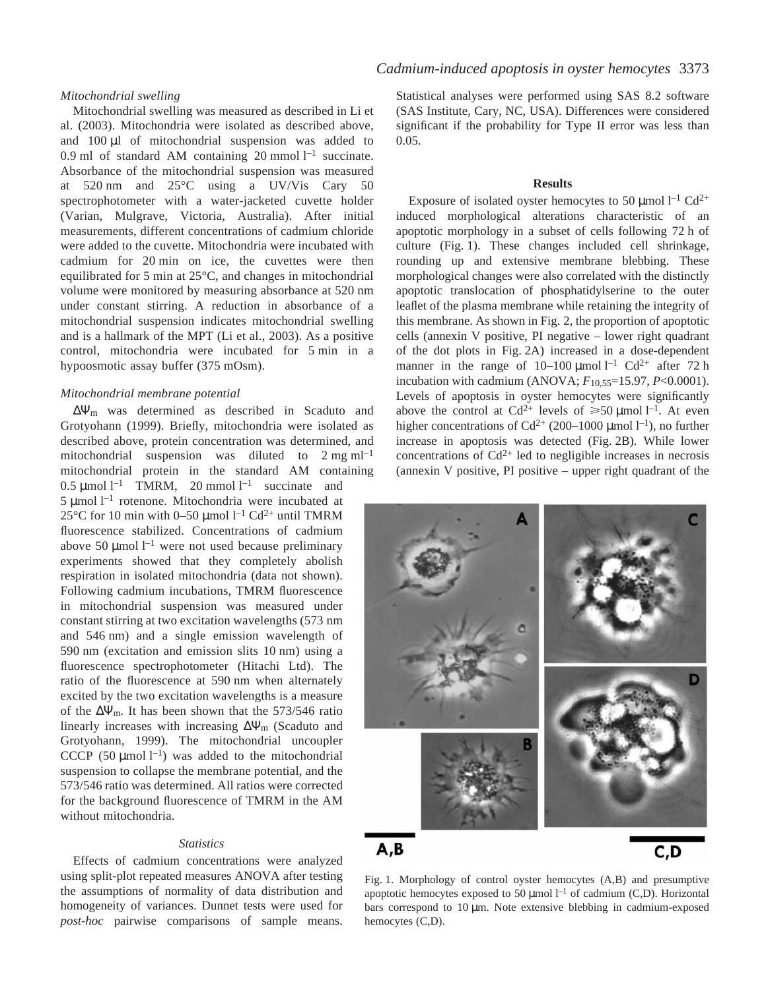## *Mitochondrial swelling*

Mitochondrial swelling was measured as described in Li et al. (2003). Mitochondria were isolated as described above, and  $100 \mu l$  of mitochondrial suspension was added to 0.9 ml of standard AM containing 20 mmol  $l^{-1}$  succinate. Absorbance of the mitochondrial suspension was measured at  $520$  nm and  $25^{\circ}$ C using a UV/Vis Cary  $50$ spectrophotometer with a water-jacketed cuvette holder (Varian, Mulgrave, Victoria, Australia). After initial measurements, different concentrations of cadmium chloride were added to the cuvette. Mitochondria were incubated with cadmium for 20 min on ice, the cuvettes were then equilibrated for 5 min at  $25^{\circ}$ C, and changes in mitochondrial volume were monitored by measuring absorbance at 520 nm under constant stirring. A reduction in absorbance of a mitochondrial suspension indicates mitochondrial swelling and is a hallmark of the MPT (Li et al., 2003). As a positive control, mitochondria were incubated for 5 min in a hypoosmotic assay buffer (375 mOsm).

## *Mitochondrial membrane potential*

∆Ψm was determined as described in Scaduto and Grotyohann (1999). Briefly, mitochondria were isolated as described above, protein concentration was determined, and mitochondrial suspension was diluted to  $2 \text{ mg ml}^{-1}$ mitochondrial protein in the standard AM containing 0.5  $\mu$ mol l<sup>-1</sup> TMRM, 20 mmol l<sup>-1</sup> succinate and  $5 \mu$ mol l<sup>-1</sup> rotenone. Mitochondria were incubated at 25 $\rm{^{\circ}C}$  for 10 min with 0–50 µmol l<sup>-1</sup> Cd<sup>2+</sup> until TMRM fluorescence stabilized. Concentrations of cadmium above 50  $\mu$ mol l<sup>-1</sup> were not used because preliminary experiments showed that they completely abolish respiration in isolated mitochondria (data not shown). Following cadmium incubations, TMRM fluorescence in mitochondrial suspension was measured under constant stirring at two excitation wavelengths (573 nm) and 546 nm) and a single emission wavelength of 590 nm (excitation and emission slits 10 nm) using a fluorescence spectrophotometer (Hitachi Ltd). The ratio of the fluorescence at 590 nm when alternately excited by the two excitation wavelengths is a measure of the  $\Delta \Psi_{\text{m}}$ . It has been shown that the 573/546 ratio linearly increases with increasing  $\Delta \Psi_m$  (Scaduto and Grotyohann, 1999). The mitochondrial uncoupler CCCP (50  $\mu$ mol l<sup>-1</sup>) was added to the mitochondrial suspension to collapse the membrane potential, and the 573/546 ratio was determined. All ratios were corrected for the background fluorescence of TMRM in the AM without mitochondria.

## *Statistics*

Effects of cadmium concentrations were analyzed using split-plot repeated measures ANOVA after testing the assumptions of normality of data distribution and homogeneity of variances. Dunnet tests were used for *post-hoc* pairwise comparisons of sample means. Statistical analyses were performed using SAS 8.2 software (SAS Institute, Cary, NC, USA). Differences were considered significant if the probability for Type II error was less than 0.05.

### **Results**

Exposure of isolated oyster hemocytes to 50 µmol  $l^{-1}$  Cd<sup>2+</sup> induced morphological alterations characteristic of an apoptotic morphology in a subset of cells following 72 h of culture (Fig. 1). These changes included cell shrinkage, rounding up and extensive membrane blebbing. These morphological changes were also correlated with the distinctly apoptotic translocation of phosphatidylserine to the outer leaflet of the plasma membrane while retaining the integrity of this membrane. As shown in Fig. 2, the proportion of apoptotic cells (annexin V positive, PI negative – lower right quadrant of the dot plots in Fig. 2A) increased in a dose-dependent manner in the range of  $10-100 \mu$ mol  $l^{-1}$  Cd<sup>2+</sup> after 72 h incubation with cadmium (ANOVA; *F*10,55=15.97, *P*<0.0001). Levels of apoptosis in oyster hemocytes were significantly above the control at Cd<sup>2+</sup> levels of  $\geq 50 \text{ \mu mol } l^{-1}$ . At even higher concentrations of Cd<sup>2+</sup> (200–1000 µmol  $l^{-1}$ ), no further increase in apoptosis was detected (Fig. 2B). While lower concentrations of  $Cd^{2+}$  led to negligible increases in necrosis (annexin V positive, PI positive – upper right quadrant of the



Fig. 1. Morphology of control oyster hemocytes  $(A,B)$  and presumptive apoptotic hemocytes exposed to 50  $\mu$ mol  $l^{-1}$  of cadmium (C,D). Horizontal bars correspond to 10 µm. Note extensive blebbing in cadmium-exposed hemocytes (C,D).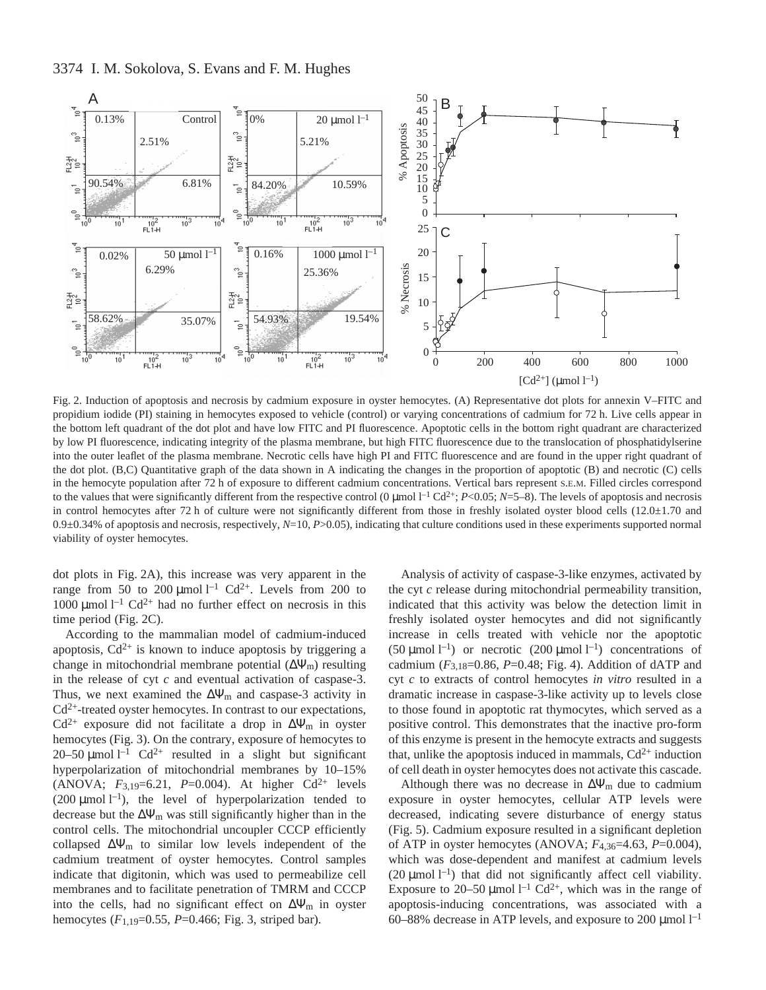

Fig. 2. Induction of apoptosis and necrosis by cadmium exposure in oyster hemocytes. (A) Representative dot plots for annexin V–FITC and propidium iodide (PI) staining in hemocytes exposed to vehicle (control) or varying concentrations of cadmium for 72 h. Live cells appear in the bottom left quadrant of the dot plot and have low FITC and PI fluorescence. Apoptotic cells in the bottom right quadrant are characterized by low PI fluorescence, indicating integrity of the plasma membrane, but high FITC fluorescence due to the translocation of phosphatidylserine into the outer leaflet of the plasma membrane. Necrotic cells have high PI and FITC fluorescence and are found in the upper right quadrant of the dot plot. (B,C) Quantitative graph of the data shown in A indicating the changes in the proportion of apoptotic (B) and necrotic (C) cells in the hemocyte population after 72 h of exposure to different cadmium concentrations. Vertical bars represent S.E.M. Filled circles correspond to the values that were significantly different from the respective control (0  $\mu$ mol  $l^{-1}$  Cd<sup>2+</sup>; *P*<0.05; *N*=5–8). The levels of apoptosis and necrosis in control hemocytes after 72 h of culture were not significantly different from those in freshly isolated oyster blood cells  $(12.0 \pm 1.70$  and  $0.9\pm0.34\%$  of apoptosis and necrosis, respectively,  $N=10$ ,  $P>0.05$ ), indicating that culture conditions used in these experiments supported normal viability of oyster hemocytes.

dot plots in Fig. 2A), this increase was very apparent in the range from 50 to 200  $\mu$ mol l<sup>-1</sup> Cd<sup>2+</sup>. Levels from 200 to 1000  $\mu$ mol l<sup>-1</sup> Cd<sup>2+</sup> had no further effect on necrosis in this time period (Fig.  $2C$ ).

According to the mammalian model of cadmium-induced apoptosis,  $Cd^{2+}$  is known to induce apoptosis by triggering a change in mitochondrial membrane potential  $(\Delta \Psi_m)$  resulting in the release of cyt *c* and eventual activation of caspase-3. Thus, we next examined the  $\Delta \Psi_m$  and caspase-3 activity in  $Cd^{2+}$ -treated oyster hemocytes. In contrast to our expectations, Cd<sup>2+</sup> exposure did not facilitate a drop in  $\Delta \Psi_m$  in oyster hemocytes (Fig. 3). On the contrary, exposure of hemocytes to 20–50  $\mu$ mol l<sup>-1</sup> Cd<sup>2+</sup> resulted in a slight but significant hyperpolarization of mitochondrial membranes by 10–15% (ANOVA;  $F_{3,19} = 6.21$ ,  $P = 0.004$ ). At higher Cd<sup>2+</sup> levels (200  $\mu$ mol l<sup>-1</sup>), the level of hyperpolarization tended to decrease but the  $\Delta \Psi_m$  was still significantly higher than in the control cells. The mitochondrial uncoupler CCCP efficiently collapsed  $\Delta \Psi_m$  to similar low levels independent of the cadmium treatment of oyster hemocytes. Control samples indicate that digitonin, which was used to permeabilize cell membranes and to facilitate penetration of TMRM and CCCP into the cells, had no significant effect on  $\Delta\Psi_m$  in oyster hemocytes ( $F_{1,19}$ =0.55,  $P$ =0.466; Fig. 3, striped bar).

Analysis of activity of caspase-3-like enzymes, activated by the cyt *c* release during mitochondrial permeability transition, indicated that this activity was below the detection limit in freshly isolated oyster hemocytes and did not significantly increase in cells treated with vehicle nor the apoptotic (50 µmol  $l^{-1}$ ) or necrotic (200 µmol  $l^{-1}$ ) concentrations of cadmium  $(F_{3,18}=0.86, P=0.48; Fig. 4)$ . Addition of dATP and cyt *c* to extracts of control hemocytes *in vitro* resulted in a dramatic increase in caspase-3-like activity up to levels close to those found in apoptotic rat thymocytes, which served as a positive control. This demonstrates that the inactive pro-form of this enzyme is present in the hemocyte extracts and suggests that, unlike the apoptosis induced in mammals,  $Cd^{2+}$  induction of cell death in oyster hemocytes does not activate this cascade.

Although there was no decrease in  $\Delta \Psi_m$  due to cadmium exposure in oyster hemocytes, cellular ATP levels were decreased, indicating severe disturbance of energy status (Fig. 5). Cadmium exposure resulted in a significant depletion of ATP in oyster hemocytes (ANOVA; *F*4,36=4.63, *P*=0.004), which was dose-dependent and manifest at cadmium levels (20  $\mu$ mol l<sup>-1</sup>) that did not significantly affect cell viability. Exposure to 20–50 µmol  $l^{-1}$  Cd<sup>2+</sup>, which was in the range of apoptosis-inducing concentrations, was associated with a 60–88% decrease in ATP levels, and exposure to 200  $\mu$ mol l<sup>-1</sup>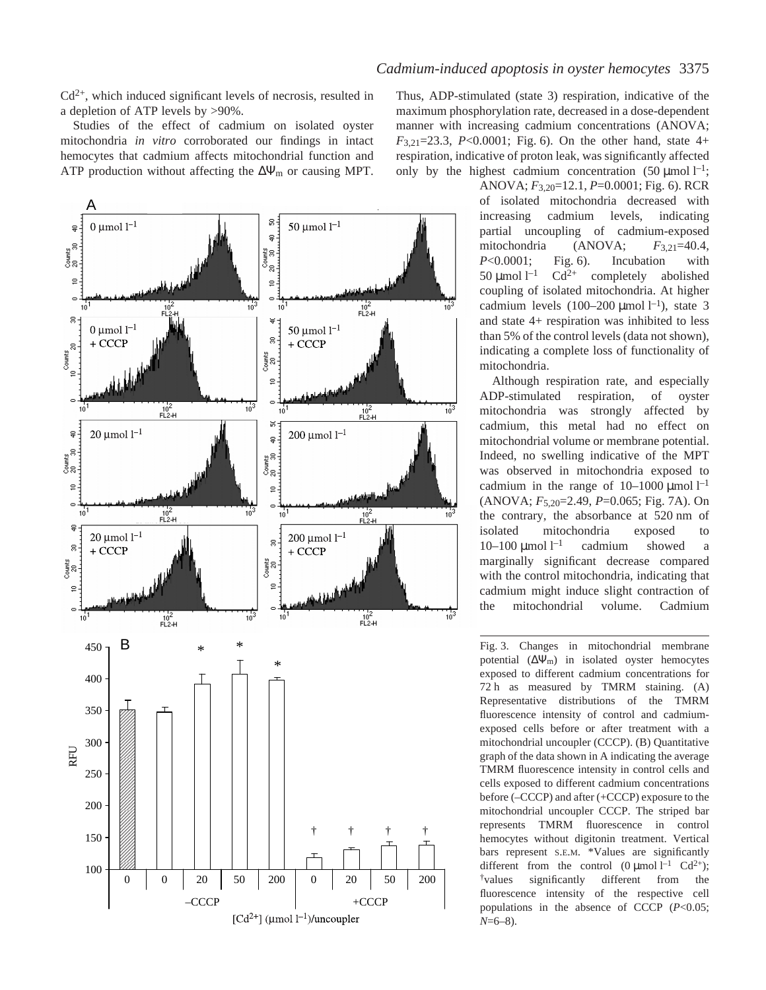Cd2+, which induced significant levels of necrosis, resulted in a depletion of ATP levels by >90%.

Studies of the effect of cadmium on isolated oyster mitochondria *in vitro* corroborated our findings in intact hemocytes that cadmium affects mitochondrial function and ATP production without affecting the  $\Delta \Psi_m$  or causing MPT.



Thus, ADP-stimulated (state 3) respiration, indicative of the maximum phosphorylation rate, decreased in a dose-dependent manner with increasing cadmium concentrations (ANOVA;  $F_{3,21}=23.3$ ,  $P<0.0001$ ; Fig. 6). On the other hand, state 4+ respiration, indicative of proton leak, was significantly affected only by the highest cadmium concentration  $(50 \mu \text{mol})^{-1}$ ;

> ANOVA;  $F_{3,20}$ =12.1, *P*=0.0001; Fig. 6). RCR of isolated mitochondria decreased with increasing cadmium levels, indicating partial uncoupling of cadmium-exposed mitochondria (ANOVA; *F*3,21=40.4, *P*<0.0001; Fig. 6). Incubation with 50 µmol  $l^{-1}$  $Cd^{2+}$  completely abolished coupling of isolated mitochondria. At higher cadmium levels  $(100-200 \mu \text{mol} \, \text{m}^{-1})$ , state 3 and state 4+ respiration was inhibited to less than 5% of the control levels (data not shown), indicating a complete loss of functionality of mitochondria.

> Although respiration rate, and especially ADP-stimulated respiration, of oyster mitochondria was strongly affected by cadmium, this metal had no effect on mitochondrial volume or membrane potential. Indeed, no swelling indicative of the MPT was observed in mitochondria exposed to cadmium in the range of  $10-1000 \mu$ mol  $l^{-1}$ (ANOVA;  $F_{5,20}$ =2.49, *P*=0.065; Fig. 7A). On the contrary, the absorbance at 520 nm of isolated mitochondria exposed to  $10-100 \mu$ mol $1^{-1}$ cadmium showed a marginally significant decrease compared with the control mitochondria, indicating that cadmium might induce slight contraction of the mitochondrial volume. Cadmium

> potential  $(\Delta \Psi_m)$  in isolated oyster hemocytes exposed to different cadmium concentrations for 72 h as measured by TMRM staining. (A) Representative distributions of the TMRM fluorescence intensity of control and cadmiumexposed cells before or after treatment with a mitochondrial uncoupler (CCCP). (B) Quantitative graph of the data shown in A indicating the average TMRM fluorescence intensity in control cells and cells exposed to different cadmium concentrations before (–CCCP) and after (+CCCP) exposure to the mitochondrial uncoupler CCCP. The striped bar represents TMRM fluorescence in control hemocytes without digitonin treatment. Vertical bars represent S.E.M. \*Values are significantly different from the control  $(0 \text{ }\mu\text{mol})^{-1} \text{ } Cd^{2+}$ ; †values significantly different from the fluorescence intensity of the respective cell populations in the absence of CCCP (*P*<0.05; *N*=6–8).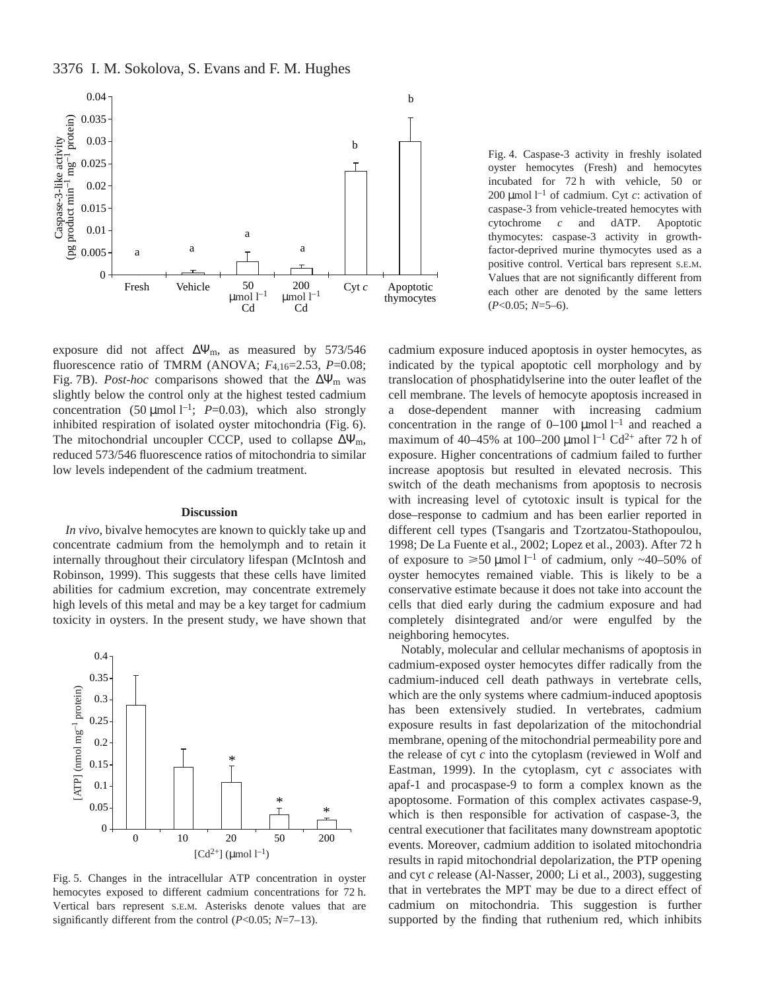



exposure did not affect ∆Ψm, as measured by 573/546 fluorescence ratio of TMRM (ANOVA; *F*4,16=2.53, *P*=0.08; Fig. 7B). *Post-hoc* comparisons showed that the ∆Ψ<sub>m</sub> was slightly below the control only at the highest tested cadmium concentration (50  $\mu$ mol l<sup>-1</sup>; *P*=0.03), which also strongly inhibited respiration of isolated oyster mitochondria (Fig. 6). The mitochondrial uncoupler CCCP, used to collapse  $\Delta \Psi_m$ , reduced 573/546 fluorescence ratios of mitochondria to similar low levels independent of the cadmium treatment.

### **Discussion**

*In vivo*, bivalve hemocytes are known to quickly take up and concentrate cadmium from the hemolymph and to retain it internally throughout their circulatory lifespan (McIntosh and Robinson, 1999). This suggests that these cells have limited abilities for cadmium excretion, may concentrate extremely high levels of this metal and may be a key target for cadmium toxicity in oysters. In the present study, we have shown that



Fig. 5. Changes in the intracellular ATP concentration in oyster hemocytes exposed to different cadmium concentrations for 72 h. Vertical bars represent S.E.M. Asterisks denote values that are significantly different from the control (*P*<0.05; *N*=7–13).

Fig. 4. Caspase-3 activity in freshly isolated oyster hemocytes (Fresh) and hemocytes incubated for 72 h with vehicle, 50 or 200 µmol<sup> $-1$ </sup> of cadmium. Cyt *c*: activation of caspase-3 from vehicle-treated hemocytes with cytochrome *c* and dATP. Apoptotic thymocytes: caspase-3 activity in growthfactor-deprived murine thymocytes used as a positive control. Vertical bars represent S.E.M. Values that are not significantly different from each other are denoted by the same letters (*P*<0.05; *N*=5–6).

cadmium exposure induced apoptosis in oyster hemocytes, as indicated by the typical apoptotic cell morphology and by translocation of phosphatidylserine into the outer leaflet of the cell membrane. The levels of hemocyte apoptosis increased in a dose-dependent manner with increasing cadmium concentration in the range of  $0-100 \mu$ mol  $1^{-1}$  and reached a maximum of 40–45% at 100–200 µmol  $l^{-1}$  Cd<sup>2+</sup> after 72 h of exposure. Higher concentrations of cadmium failed to further increase apoptosis but resulted in elevated necrosis. This switch of the death mechanisms from apoptosis to necrosis with increasing level of cytotoxic insult is typical for the dose–response to cadmium and has been earlier reported in different cell types (Tsangaris and Tzortzatou-Stathopoulou, 1998; De La Fuente et al., 2002; Lopez et al., 2003). After 72 h of exposure to  $\geq 50 \text{ \mu}$  mol l<sup>-1</sup> of cadmium, only ~40-50% of oyster hemocytes remained viable. This is likely to be a conservative estimate because it does not take into account the cells that died early during the cadmium exposure and had completely disintegrated and/or were engulfed by the neighboring hemocytes.

Notably, molecular and cellular mechanisms of apoptosis in cadmium-exposed oyster hemocytes differ radically from the cadmium-induced cell death pathways in vertebrate cells, which are the only systems where cadmium-induced apoptosis has been extensively studied. In vertebrates, cadmium exposure results in fast depolarization of the mitochondrial membrane, opening of the mitochondrial permeability pore and the release of cyt *c* into the cytoplasm (reviewed in Wolf and Eastman, 1999). In the cytoplasm, cyt *c* associates with apaf-1 and procaspase-9 to form a complex known as the apoptosome. Formation of this complex activates caspase-9, which is then responsible for activation of caspase-3, the central executioner that facilitates many downstream apoptotic events. Moreover, cadmium addition to isolated mitochondria results in rapid mitochondrial depolarization, the PTP opening and cyt *c* release (Al-Nasser, 2000; Li et al., 2003), suggesting that in vertebrates the MPT may be due to a direct effect of cadmium on mitochondria. This suggestion is further supported by the finding that ruthenium red, which inhibits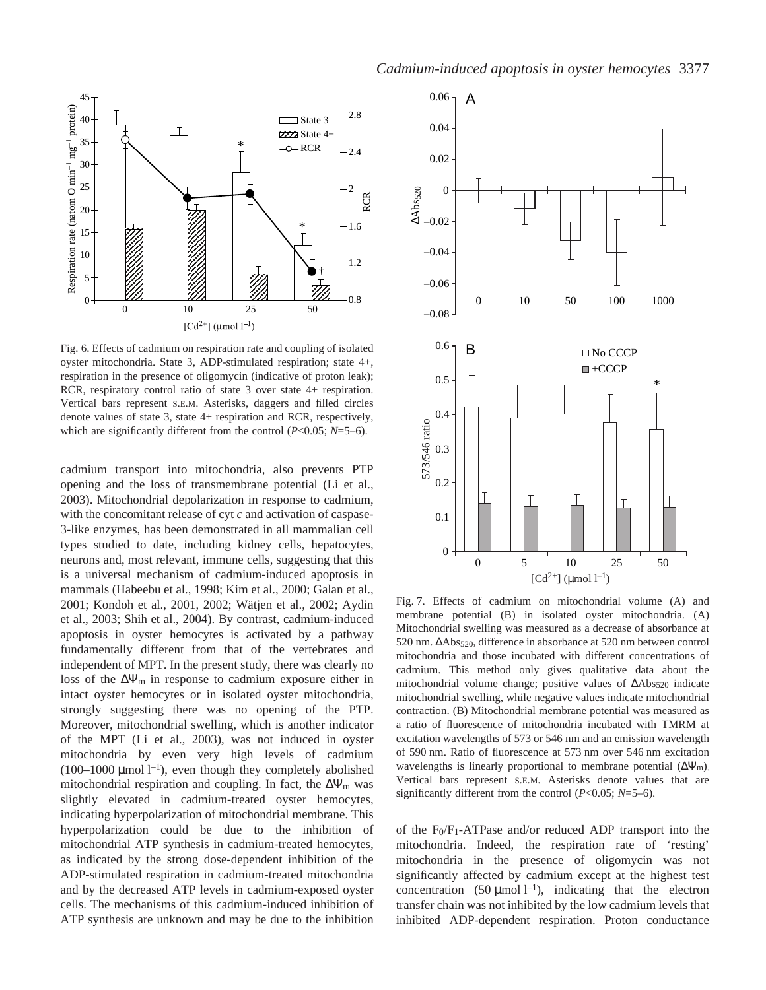

Fig. 6. Effects of cadmium on respiration rate and coupling of isolated oyster mitochondria. State 3, ADP-stimulated respiration; state 4+, respiration in the presence of oligomycin (indicative of proton leak); RCR, respiratory control ratio of state 3 over state 4+ respiration. Vertical bars represent S.E.M. Asterisks, daggers and filled circles denote values of state 3, state 4+ respiration and RCR, respectively, which are significantly different from the control (*P*<0.05; *N*=5–6).

cadmium transport into mitochondria, also prevents PTP opening and the loss of transmembrane potential (Li et al., 2003). Mitochondrial depolarization in response to cadmium, with the concomitant release of cyt *c* and activation of caspase-3-like enzymes, has been demonstrated in all mammalian cell types studied to date, including kidney cells, hepatocytes, neurons and, most relevant, immune cells, suggesting that this is a universal mechanism of cadmium-induced apoptosis in mammals (Habeebu et al., 1998; Kim et al., 2000; Galan et al., 2001; Kondoh et al., 2001, 2002; Wätjen et al., 2002; Aydin et al., 2003; Shih et al., 2004). By contrast, cadmium-induced apoptosis in oyster hemocytes is activated by a pathway fundamentally different from that of the vertebrates and independent of MPT. In the present study, there was clearly no loss of the  $\Delta \Psi_m$  in response to cadmium exposure either in intact oyster hemocytes or in isolated oyster mitochondria, strongly suggesting there was no opening of the PTP. Moreover, mitochondrial swelling, which is another indicator of the MPT (Li et al., 2003), was not induced in oyster mitochondria by even very high levels of cadmium (100–1000 µmol  $l^{-1}$ ), even though they completely abolished mitochondrial respiration and coupling. In fact, the  $\Delta \Psi_{\rm m}$  was slightly elevated in cadmium-treated oyster hemocytes, indicating hyperpolarization of mitochondrial membrane. This hyperpolarization could be due to the inhibition of mitochondrial ATP synthesis in cadmium-treated hemocytes, as indicated by the strong dose-dependent inhibition of the ADP-stimulated respiration in cadmium-treated mitochondria and by the decreased ATP levels in cadmium-exposed oyster cells. The mechanisms of this cadmium-induced inhibition of ATP synthesis are unknown and may be due to the inhibition



Fig. 7. Effects of cadmium on mitochondrial volume (A) and membrane potential (B) in isolated oyster mitochondria. (A) Mitochondrial swelling was measured as a decrease of absorbance at 520 nm. ΔAbs<sub>520</sub>, difference in absorbance at 520 nm between control mitochondria and those incubated with different concentrations of cadmium. This method only gives qualitative data about the mitochondrial volume change; positive values of ΔAbs<sub>520</sub> indicate mitochondrial swelling, while negative values indicate mitochondrial contraction. (B) Mitochondrial membrane potential was measured as a ratio of fluorescence of mitochondria incubated with TMRM at excitation wavelengths of 573 or 546 nm and an emission wavelength of 590 nm. Ratio of fluorescence at 573 nm over 546 nm excitation wavelengths is linearly proportional to membrane potential  $(\Delta \Psi_m)$ . Vertical bars represent S.E.M. Asterisks denote values that are significantly different from the control (*P*<0.05; *N*=5–6).

of the F0/F1-ATPase and/or reduced ADP transport into the mitochondria. Indeed, the respiration rate of 'resting' mitochondria in the presence of oligomycin was not significantly affected by cadmium except at the highest test concentration (50  $\mu$ mol l<sup>-1</sup>), indicating that the electron transfer chain was not inhibited by the low cadmium levels that inhibited ADP-dependent respiration. Proton conductance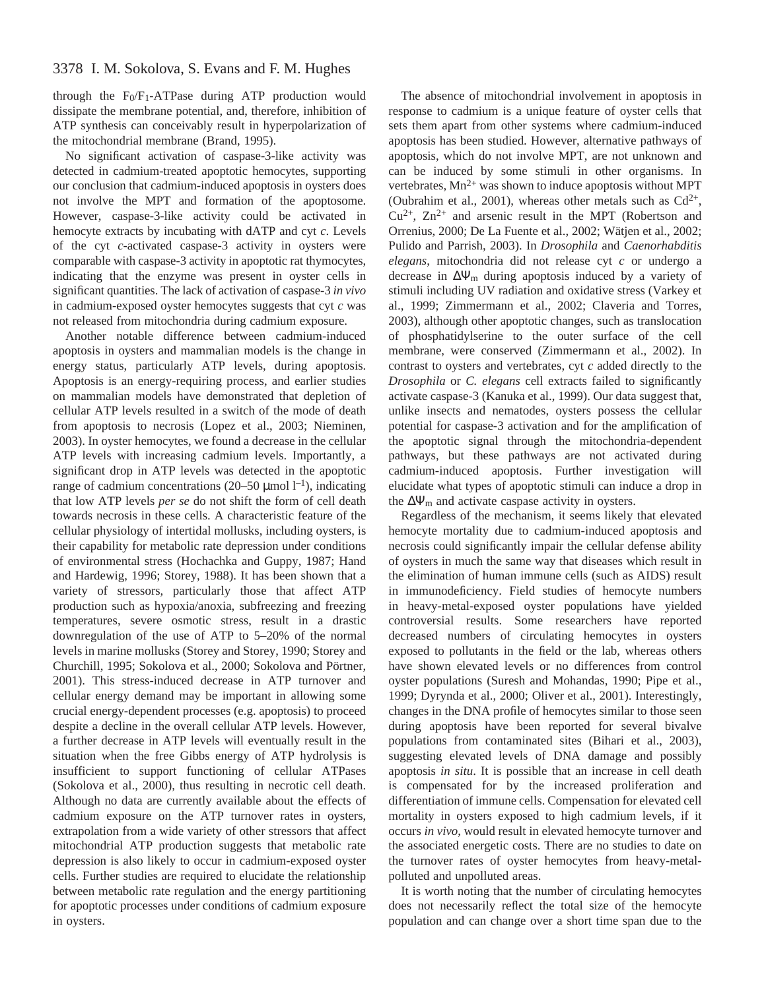# 3378 I. M. Sokolova, S. Evans and F. M. Hughes

through the F0/F1-ATPase during ATP production would dissipate the membrane potential, and, therefore, inhibition of ATP synthesis can conceivably result in hyperpolarization of the mitochondrial membrane (Brand, 1995).

No significant activation of caspase-3-like activity was detected in cadmium-treated apoptotic hemocytes, supporting our conclusion that cadmium-induced apoptosis in oysters does not involve the MPT and formation of the apoptosome. However, caspase-3-like activity could be activated in hemocyte extracts by incubating with dATP and cyt *c*. Levels of the cyt *c*-activated caspase-3 activity in oysters were comparable with caspase-3 activity in apoptotic rat thymocytes, indicating that the enzyme was present in oyster cells in significant quantities. The lack of activation of caspase-3 *in vivo* in cadmium-exposed oyster hemocytes suggests that cyt *c* was not released from mitochondria during cadmium exposure.

Another notable difference between cadmium-induced apoptosis in oysters and mammalian models is the change in energy status, particularly ATP levels, during apoptosis. Apoptosis is an energy-requiring process, and earlier studies on mammalian models have demonstrated that depletion of cellular ATP levels resulted in a switch of the mode of death from apoptosis to necrosis (Lopez et al., 2003; Nieminen, 2003). In oyster hemocytes, we found a decrease in the cellular ATP levels with increasing cadmium levels. Importantly, a significant drop in ATP levels was detected in the apoptotic range of cadmium concentrations (20–50 µmol  $l^{-1}$ ), indicating that low ATP levels *per se* do not shift the form of cell death towards necrosis in these cells. A characteristic feature of the cellular physiology of intertidal mollusks, including oysters, is their capability for metabolic rate depression under conditions of environmental stress (Hochachka and Guppy, 1987; Hand and Hardewig, 1996; Storey, 1988). It has been shown that a variety of stressors, particularly those that affect ATP production such as hypoxia/anoxia, subfreezing and freezing temperatures, severe osmotic stress, result in a drastic downregulation of the use of ATP to 5–20% of the normal levels in marine mollusks (Storey and Storey, 1990; Storey and Churchill, 1995; Sokolova et al., 2000; Sokolova and Pörtner, 2001). This stress-induced decrease in ATP turnover and cellular energy demand may be important in allowing some crucial energy-dependent processes (e.g. apoptosis) to proceed despite a decline in the overall cellular ATP levels. However, a further decrease in ATP levels will eventually result in the situation when the free Gibbs energy of ATP hydrolysis is insufficient to support functioning of cellular ATPases (Sokolova et al., 2000), thus resulting in necrotic cell death. Although no data are currently available about the effects of cadmium exposure on the ATP turnover rates in oysters, extrapolation from a wide variety of other stressors that affect mitochondrial ATP production suggests that metabolic rate depression is also likely to occur in cadmium-exposed oyster cells. Further studies are required to elucidate the relationship between metabolic rate regulation and the energy partitioning for apoptotic processes under conditions of cadmium exposure in oysters.

The absence of mitochondrial involvement in apoptosis in response to cadmium is a unique feature of oyster cells that sets them apart from other systems where cadmium-induced apoptosis has been studied. However, alternative pathways of apoptosis, which do not involve MPT, are not unknown and can be induced by some stimuli in other organisms. In vertebrates,  $Mn^{2+}$  was shown to induce apoptosis without MPT (Oubrahim et al., 2001), whereas other metals such as  $Cd^{2+}$ ,  $Cu^{2+}$ ,  $Zn^{2+}$  and arsenic result in the MPT (Robertson and Orrenius, 2000; De La Fuente et al., 2002; Wätjen et al., 2002; Pulido and Parrish, 2003). In *Drosophila* and *Caenorhabditis elegans*, mitochondria did not release cyt *c* or undergo a decrease in  $\Delta \Psi_m$  during apoptosis induced by a variety of stimuli including UV radiation and oxidative stress (Varkey et al., 1999; Zimmermann et al., 2002; Claveria and Torres, 2003), although other apoptotic changes, such as translocation of phosphatidylserine to the outer surface of the cell membrane, were conserved (Zimmermann et al., 2002). In contrast to oysters and vertebrates, cyt *c* added directly to the *Drosophila* or *C. elegans* cell extracts failed to significantly activate caspase-3 (Kanuka et al., 1999). Our data suggest that, unlike insects and nematodes, oysters possess the cellular potential for caspase-3 activation and for the amplification of the apoptotic signal through the mitochondria-dependent pathways, but these pathways are not activated during cadmium-induced apoptosis. Further investigation will elucidate what types of apoptotic stimuli can induce a drop in the  $\Delta \Psi_m$  and activate caspase activity in oysters.

Regardless of the mechanism, it seems likely that elevated hemocyte mortality due to cadmium-induced apoptosis and necrosis could significantly impair the cellular defense ability of oysters in much the same way that diseases which result in the elimination of human immune cells (such as AIDS) result in immunodeficiency. Field studies of hemocyte numbers in heavy-metal-exposed oyster populations have yielded controversial results. Some researchers have reported decreased numbers of circulating hemocytes in oysters exposed to pollutants in the field or the lab, whereas others have shown elevated levels or no differences from control oyster populations (Suresh and Mohandas, 1990; Pipe et al., 1999; Dyrynda et al., 2000; Oliver et al., 2001). Interestingly, changes in the DNA profile of hemocytes similar to those seen during apoptosis have been reported for several bivalve populations from contaminated sites (Bihari et al., 2003), suggesting elevated levels of DNA damage and possibly apoptosis *in situ*. It is possible that an increase in cell death is compensated for by the increased proliferation and differentiation of immune cells. Compensation for elevated cell mortality in oysters exposed to high cadmium levels, if it occurs *in vivo*, would result in elevated hemocyte turnover and the associated energetic costs. There are no studies to date on the turnover rates of oyster hemocytes from heavy-metalpolluted and unpolluted areas.

It is worth noting that the number of circulating hemocytes does not necessarily reflect the total size of the hemocyte population and can change over a short time span due to the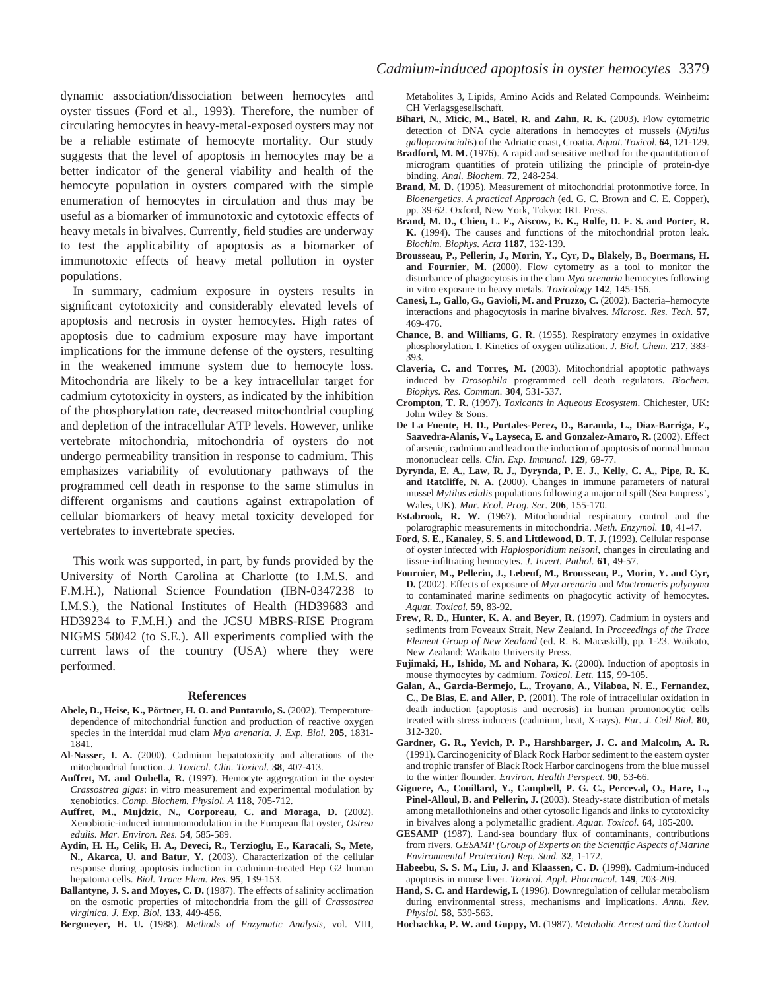dynamic association/dissociation between hemocytes and oyster tissues (Ford et al., 1993). Therefore, the number of circulating hemocytes in heavy-metal-exposed oysters may not be a reliable estimate of hemocyte mortality. Our study suggests that the level of apoptosis in hemocytes may be a better indicator of the general viability and health of the hemocyte population in oysters compared with the simple enumeration of hemocytes in circulation and thus may be useful as a biomarker of immunotoxic and cytotoxic effects of heavy metals in bivalves. Currently, field studies are underway to test the applicability of apoptosis as a biomarker of immunotoxic effects of heavy metal pollution in oyster populations.

In summary, cadmium exposure in oysters results in significant cytotoxicity and considerably elevated levels of apoptosis and necrosis in oyster hemocytes. High rates of apoptosis due to cadmium exposure may have important implications for the immune defense of the oysters, resulting in the weakened immune system due to hemocyte loss. Mitochondria are likely to be a key intracellular target for cadmium cytotoxicity in oysters, as indicated by the inhibition of the phosphorylation rate, decreased mitochondrial coupling and depletion of the intracellular ATP levels. However, unlike vertebrate mitochondria, mitochondria of oysters do not undergo permeability transition in response to cadmium. This emphasizes variability of evolutionary pathways of the programmed cell death in response to the same stimulus in different organisms and cautions against extrapolation of cellular biomarkers of heavy metal toxicity developed for vertebrates to invertebrate species.

This work was supported, in part, by funds provided by the University of North Carolina at Charlotte (to I.M.S. and F.M.H.), National Science Foundation (IBN-0347238 to I.M.S.), the National Institutes of Health (HD39683 and HD39234 to F.M.H.) and the JCSU MBRS-RISE Program NIGMS 58042 (to S.E.). All experiments complied with the current laws of the country (USA) where they were performed.

#### **References**

- Abele, D., Heise, K., Pörtner, H. O. and Puntarulo, S. (2002). Temperaturedependence of mitochondrial function and production of reactive oxygen species in the intertidal mud clam *Mya arenaria*. *J. Exp. Biol.* **205**, 1831- 1841.
- **Al-Nasser, I. A.** (2000). Cadmium hepatotoxicity and alterations of the mitochondrial function. *J. Toxicol. Clin. Toxicol.* **38**, 407-413.
- Auffret, M. and Oubella, R. (1997). Hemocyte aggregration in the oyster *Crassostrea gigas*: in vitro measurement and experimental modulation by xenobiotics. *Comp. Biochem. Physiol. A* **118**, 705-712.
- **Auffret, M., Mujdzic, N., Corporeau, C. and Moraga, D.** (2002). Xenobiotic-induced immunomodulation in the European flat oyster, *Ostrea edulis*. *Mar. Environ. Res.* **54**, 585-589.
- **Aydin, H. H., Celik, H. A., Deveci, R., Terzioglu, E., Karacali, S., Mete, N., Akarca, U. and Batur, Y.** (2003). Characterization of the cellular response during apoptosis induction in cadmium-treated Hep G2 human hepatoma cells. *Biol. Trace Elem. Res*. **95**, 139-153.
- **Ballantyne, J. S. and Moyes, C. D.** (1987). The effects of salinity acclimation on the osmotic properties of mitochondria from the gill of *Crassostrea virginica*. *J. Exp. Biol.* **133**, 449-456.

**Bergmeyer, H. U.** (1988). *Methods of Enzymatic Analysis*, vol. VIII,

Metabolites 3, Lipids, Amino Acids and Related Compounds. Weinheim: CH Verlagsgesellschaft.

- Bihari, N., Micic, M., Batel, R. and Zahn, R. K. (2003). Flow cytometric detection of DNA cycle alterations in hemocytes of mussels (*Mytilus galloprovincialis*) of the Adriatic coast, Croatia. *Aquat. Toxicol.* **64**, 121-129.
- Bradford, M. M. (1976). A rapid and sensitive method for the quantitation of microgram quantities of protein utilizing the principle of protein-dye binding. *Anal. Biochem*. **72**, 248-254.
- Brand, M. D. (1995). Measurement of mitochondrial protonmotive force. In *Bioenergetics. A practical Approach* (ed. G. C. Brown and C. E. Copper), pp. 39-62. Oxford, New York, Tokyo: IRL Press.
- **Brand, M. D., Chien, L. F., Aiscow, E. K., Rolfe, D. F. S. and Porter, R. K.** (1994). The causes and functions of the mitochondrial proton leak. *Biochim. Biophys. Acta* **1187**, 132-139.
- **Brousseau, P., Pellerin, J., Morin, Y., Cyr, D., Blakely, B., Boermans, H.** and Fournier, M. (2000). Flow cytometry as a tool to monitor the disturbance of phagocytosis in the clam *Mya arenaria* hemocytes following in vitro exposure to heavy metals. *Toxicology* **142**, 145-156.
- **Canesi, L., Gallo, G., Gavioli, M. and Pruzzo, C.** (2002). Bacteria–hemocyte interactions and phagocytosis in marine bivalves. *Microsc. Res. Tech.* **57**, 469-476.
- **Chance, B. and Williams, G. R.** (1955). Respiratory enzymes in oxidative phosphorylation. I. Kinetics of oxygen utilization. *J. Biol. Chem.* **217**, 383- 393.
- **Claveria, C. and Torres, M.** (2003). Mitochondrial apoptotic pathways induced by *Drosophila* programmed cell death regulators. *Biochem. Biophys. Res. Commun.* **304**, 531-537.
- **Crompton, T. R.** (1997). *Toxicants in Aqueous Ecosystem*. Chichester, UK: John Wiley & Sons.
- **De La Fuente, H. D., Portales-Perez, D., Baranda, L., Diaz-Barriga, F.,** Saavedra-Alanis, V., Layseca, E. and Gonzalez-Amaro, R. (2002). Effect of arsenic, cadmium and lead on the induction of apoptosis of normal human mononuclear cells. *Clin. Exp. Immunol.* **129**, 69-77.
- **Dyrynda, E. A., Law, R. J., Dyrynda, P. E. J., Kelly, C. A., Pipe, R. K.** and Ratcliffe, N. A. (2000). Changes in immune parameters of natural mussel *Mytilus edulis* populations following a major oil spill (Sea Empress', Wales, UK). *Mar. Ecol. Prog. Ser.* **206**, 155-170.
- **Estabrook, R. W.** (1967). Mitochondrial respiratory control and the polarographic measurements in mitochondria. *Meth. Enzymol.* **10**, 41-47.
- Ford, S. E., Kanaley, S. S. and Littlewood, D. T. J. (1993). Cellular response of oyster infected with *Haplosporidium nelsoni*, changes in circulating and tissue-infiltrating hemocytes. *J. Invert. Pathol.* **61**, 49-57.
- **Fournier, M., Pellerin, J., Lebeuf, M., Brousseau, P., Morin, Y. and Cyr, D.** (2002). Effects of exposure of *Mya arenaria* and *Mactromeris polynyma* to contaminated marine sediments on phagocytic activity of hemocytes. *Aquat. Toxicol.* **59**, 83-92.
- **Frew, R. D., Hunter, K. A. and Beyer, R.** (1997). Cadmium in oysters and sediments from Foveaux Strait, New Zealand. In *Proceedings of the Trace Element Group of New Zealand* (ed. R. B. Macaskill), pp. 1-23. Waikato, New Zealand: Waikato University Press.
- **Fujimaki, H., Ishido, M. and Nohara, K.** (2000). Induction of apoptosis in mouse thymocytes by cadmium. *Toxicol. Lett.* **115**, 99-105.
- **Galan, A., Garcia-Bermejo, L., Troyano, A., Vilaboa, N. E., Fernandez, C., De Blas, E. and Aller, P.** (2001). The role of intracellular oxidation in death induction (apoptosis and necrosis) in human promonocytic cells treated with stress inducers (cadmium, heat, X-rays). *Eur. J. Cell Biol.* **80**, 312-320.
- **Gardner, G. R., Yevich, P. P., Harshbarger, J. C. and Malcolm, A. R.** (1991). Carcinogenicity of Black Rock Harbor sediment to the eastern oyster and trophic transfer of Black Rock Harbor carcinogens from the blue mussel to the winter flounder*. Environ. Health Perspect*. **90**, 53-66.
- **Giguere, A., Couillard, Y., Campbell, P. G. C., Perceval, O., Hare, L.,** Pinel-Alloul, B. and Pellerin, J. (2003). Steady-state distribution of metals among metallothioneins and other cytosolic ligands and links to cytotoxicity in bivalves along a polymetallic gradient. *Aquat. Toxicol.* **64**, 185-200.
- **GESAMP** (1987). Land-sea boundary flux of contaminants, contributions from rivers. *GESAMP (Group of Experts on the Scientific Aspects of Marine Environmental Protection) Rep. Stud.* **32**, 1-172.
- Habeebu, S. S. M., Liu, J. and Klaassen, C. D. (1998). Cadmium-induced apoptosis in mouse liver. *Toxicol. Appl. Pharmacol.* **149**, 203-209.
- **Hand, S. C. and Hardewig, I.** (1996). Downregulation of cellular metabolism during environmental stress, mechanisms and implications. *Annu. Rev. Physiol.* **58**, 539-563.
- **Hochachka, P. W. and Guppy, M.** (1987). *Metabolic Arrest and the Control*